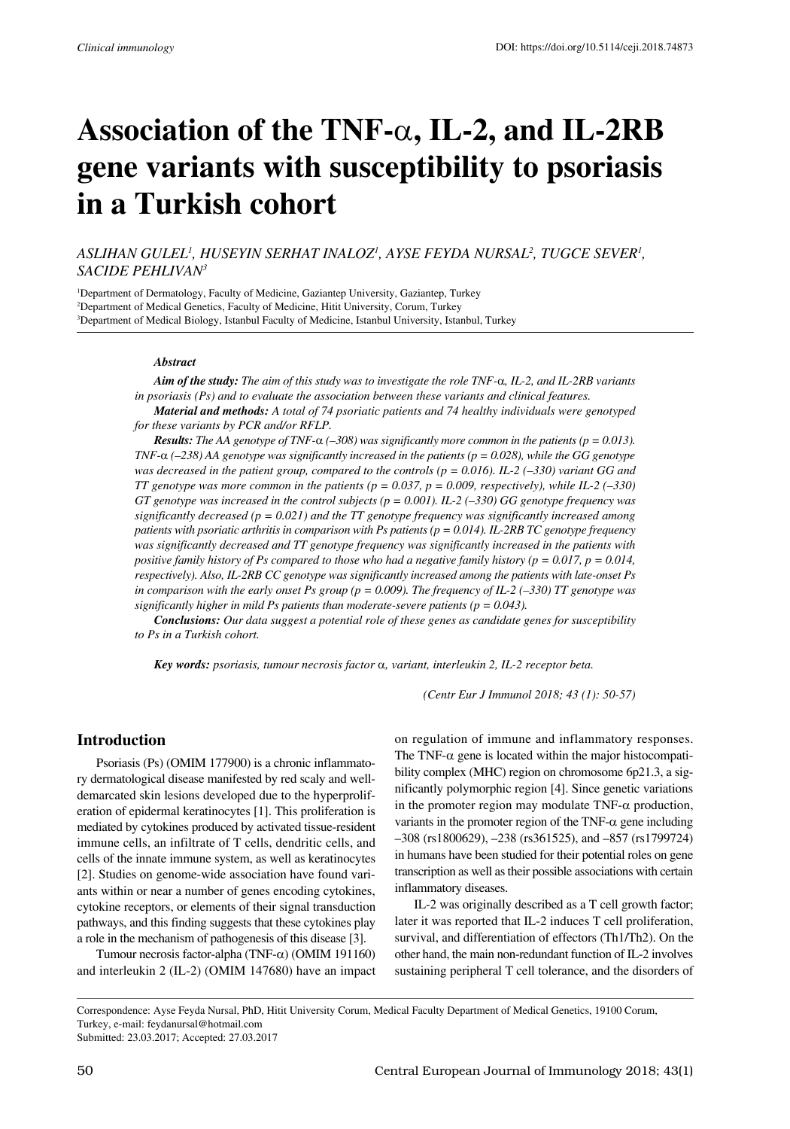# **Association of the TNF-**α**, IL-2, and IL-2RB gene variants with susceptibility to psoriasis in a Turkish cohort**

# *Aslihan Gulel1 , Huseyin Serhat Inaloz1 , Ayse Feyda Nursal2 , Tugce Sever1 , Sacide Pehlivan3*

1 Department of Dermatology, Faculty of Medicine, Gaziantep University, Gaziantep, Turkey 2 Department of Medical Genetics, Faculty of Medicine, Hitit University, Corum, Turkey 3 Department of Medical Biology, Istanbul Faculty of Medicine, Istanbul University, Istanbul, Turkey

#### *Abstract*

*Aim of the study: The aim of this study was to investigate the role TNF-*α*, IL-2, and IL-2RB variants in psoriasis (Ps) and to evaluate the association between these variants and clinical features.*

*Material and methods: A total of 74 psoriatic patients and 74 healthy individuals were genotyped for these variants by PCR and/or RFLP.*

*Results: The AA genotype of TNF-*α *(–308) was significantly more common in the patients (p = 0.013). TNF-*α ( $-238$ ) AA genotype was significantly increased in the patients ( $p = 0.028$ ), while the GG genotype *was decreased in the patient group, compared to the controls (p = 0.016). IL-2 (–330) variant GG and TT genotype was more common in the patients (p = 0.037, p = 0.009, respectively), while IL-2 (-330) GT genotype was increased in the control subjects (p = 0.001). IL-2 (–330) GG genotype frequency was significantly decreased (p = 0.021) and the TT genotype frequency was significantly increased among patients with psoriatic arthritis in comparison with Ps patients (p = 0.014). IL-2RB TC genotype frequency was significantly decreased and TT genotype frequency was significantly increased in the patients with positive family history of Ps compared to those who had a negative family history (p = 0.017, p = 0.014, respectively). Also, IL-2RB CC genotype was significantly increased among the patients with late-onset Ps in comparison with the early onset Ps group (p = 0.009). The frequency of IL-2 (-330) TT genotype was significantly higher in mild Ps patients than moderate-severe patients (p = 0.043).*

*Conclusions: Our data suggest a potential role of these genes as candidate genes for susceptibility to Ps in a Turkish cohort.*

*Key words: psoriasis, tumour necrosis factor* α*, variant, interleukin 2, IL-2 receptor beta.*

*(Centr Eur J Immunol 2018; 43 (1): 50-57)*

# **Introduction**

Psoriasis (Ps) (OMIM 177900) is a chronic inflammatory dermatological disease manifested by red scaly and welldemarcated skin lesions developed due to the hyperproliferation of epidermal keratinocytes [1]. This proliferation is mediated by cytokines produced by activated tissue-resident immune cells, an infiltrate of T cells, dendritic cells, and cells of the innate immune system, as well as keratinocytes [2]. Studies on genome-wide association have found variants within or near a number of genes encoding cytokines, cytokine receptors, or elements of their signal transduction pathways, and this finding suggests that these cytokines play a role in the mechanism of pathogenesis of this disease [3].

Tumour necrosis factor-alpha (TNF-α) (OMIM 191160) and interleukin 2 (IL-2) (OMIM 147680) have an impact on regulation of immune and inflammatory responses. The TNF- $\alpha$  gene is located within the major histocompatibility complex (MHC) region on chromosome 6p21.3, a significantly polymorphic region [4]. Since genetic variations in the promoter region may modulate  $TNF-\alpha$  production, variants in the promoter region of the TNF- $\alpha$  gene including –308 (rs1800629), –238 (rs361525), and –857 (rs1799724) in humans have been studied for their potential roles on gene transcription as well as their possible associations with certain inflammatory diseases.

IL-2 was originally described as a T cell growth factor; later it was reported that IL-2 induces T cell proliferation, survival, and differentiation of effectors (Th1/Th2). On the other hand, the main non-redundant function of IL-2 involves sustaining peripheral T cell tolerance, and the disorders of

Correspondence: Ayse Feyda Nursal, PhD, Hitit University Corum, Medical Faculty Department of Medical Genetics, 19100 Corum, Turkey, e-mail: feydanursal@hotmail.com

Submitted: 23.03.2017; Accepted: 27.03.2017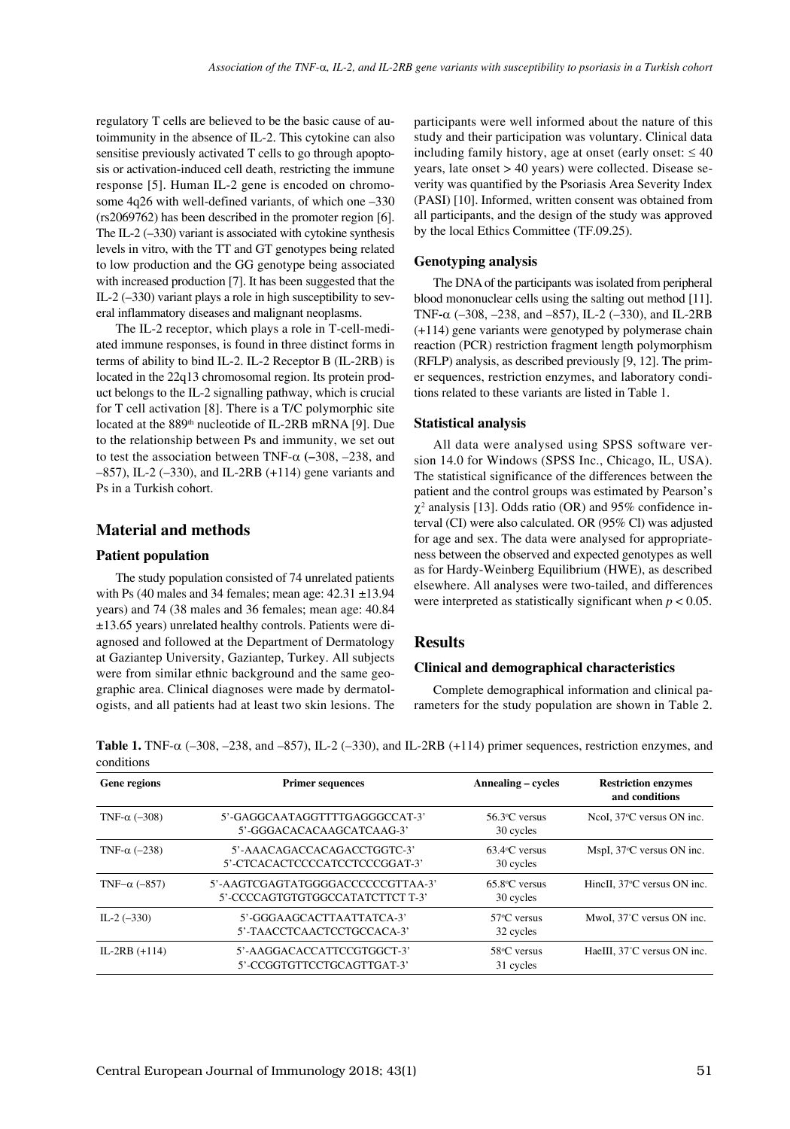regulatory T cells are believed to be the basic cause of autoimmunity in the absence of IL-2. This cytokine can also sensitise previously activated T cells to go through apoptosis or activation-induced cell death, restricting the immune response [5]. Human IL-2 gene is encoded on chromosome 4q26 with well-defined variants, of which one –330 (rs2069762) has been described in the promoter region [6]. The IL-2 (–330) variant is associated with cytokine synthesis levels in vitro, with the TT and GT genotypes being related to low production and the GG genotype being associated with increased production [7]. It has been suggested that the IL-2 (–330) variant plays a role in high susceptibility to several inflammatory diseases and malignant neoplasms.

The IL-2 receptor, which plays a role in T-cell-mediated immune responses, is found in three distinct forms in terms of ability to bind IL-2. IL-2 Receptor B (IL-2RB) is located in the 22q13 chromosomal region. Its protein product belongs to the IL-2 signalling pathway, which is crucial for T cell activation [8]. There is a T/C polymorphic site located at the 889<sup>th</sup> nucleotide of IL-2RB mRNA [9]. Due to the relationship between Ps and immunity, we set out to test the association between TNF-α **(–**308, –238, and –857), IL-2 (–330), and IL-2RB (+114) gene variants and Ps in a Turkish cohort.

## **Material and methods**

#### **Patient population**

The study population consisted of 74 unrelated patients with Ps (40 males and 34 females; mean age:  $42.31 \pm 13.94$ years) and 74 (38 males and 36 females; mean age: 40.84 ±13.65 years) unrelated healthy controls. Patients were diagnosed and followed at the Department of Dermatology at Gaziantep University, Gaziantep, Turkey. All subjects were from similar ethnic background and the same geographic area. Clinical diagnoses were made by dermatologists, and all patients had at least two skin lesions. The participants were well informed about the nature of this study and their participation was voluntary. Clinical data including family history, age at onset (early onset:  $\leq 40$ ) years, late onset > 40 years) were collected. Disease severity was quantified by the Psoriasis Area Severity Index (PASI) [10]. Informed, written consent was obtained from all participants, and the design of the study was approved by the local Ethics Committee (TF.09.25).

#### **Genotyping analysis**

The DNA of the participants was isolated from peripheral blood mononuclear cells using the salting out method [11]. TNF**-**α (–308, –238, and –857), IL-2 (–330), and IL-2RB (+114) gene variants were genotyped by polymerase chain reaction (PCR) restriction fragment length polymorphism (RFLP) analysis, as described previously [9, 12]. The primer sequences, restriction enzymes, and laboratory conditions related to these variants are listed in Table 1.

#### **Statistical analysis**

All data were analysed using SPSS software version 14.0 for Windows (SPSS Inc., Chicago, IL, USA). The statistical significance of the differences between the patient and the control groups was estimated by Pearson's  $\chi^2$  analysis [13]. Odds ratio (OR) and 95% confidence interval (CI) were also calculated. OR (95% Cl) was adjusted for age and sex. The data were analysed for appropriateness between the observed and expected genotypes as well as for Hardy-Weinberg Equilibrium (HWE), as described elsewhere. All analyses were two-tailed, and differences were interpreted as statistically significant when *p* < 0.05.

# **Results**

#### **Clinical and demographical characteristics**

Complete demographical information and clinical parameters for the study population are shown in Table 2.

**Table 1.** TNF-α (–308, –238, and –857), IL-2 (–330), and IL-2RB (+114) primer sequences, restriction enzymes, and conditions

| Gene regions         | <b>Primer sequences</b>                                               | Annealing – cycles                        | <b>Restriction enzymes</b><br>and conditions |  |
|----------------------|-----------------------------------------------------------------------|-------------------------------------------|----------------------------------------------|--|
| TNF- $\alpha$ (-308) | 5'-GAGGCAATAGGTTTTGAGGGCCAT-3'<br>5'-GGGACACACAAGCATCAAG-3'           | $56.3$ <sup>o</sup> C versus<br>30 cycles | NeoI, 37 <sup>o</sup> C versus ON inc.       |  |
| TNF- $\alpha$ (-238) | 5'-AAACAGACCACAGACCTGGTC-3'<br>5'-CTCACACTCCCCATCCTCCCGGAT-3'         | $63.4$ <sup>o</sup> C versus<br>30 cycles | MspI, $37^{\circ}$ C versus ON inc.          |  |
| TNF $-\alpha$ (-857) | 5'-AAGTCGAGTATGGGGACCCCCCGTTAA-3'<br>5'-CCCCAGTGTGTGGCCATATCTTCT T-3' | $65.8$ °C versus<br>30 cycles             | HineII. 37 <sup>o</sup> C versus ON inc.     |  |
| IL-2 $(-330)$        | 5'-GGGAAGCACTTAATTATCA-3'<br>5'-TAACCTCAACTCCTGCCACA-3'               | $57^{\circ}$ C versus<br>32 cycles        | MwoI, 37°C versus ON inc.                    |  |
| IL-2RB $(+114)$      | 5'-AAGGACACCATTCCGTGGCT-3'<br>5'-CCGGTGTTCCTGCAGTTGAT-3'              | $58^{\circ}$ C versus<br>31 cycles        | HaeIII, 37°C versus ON inc.                  |  |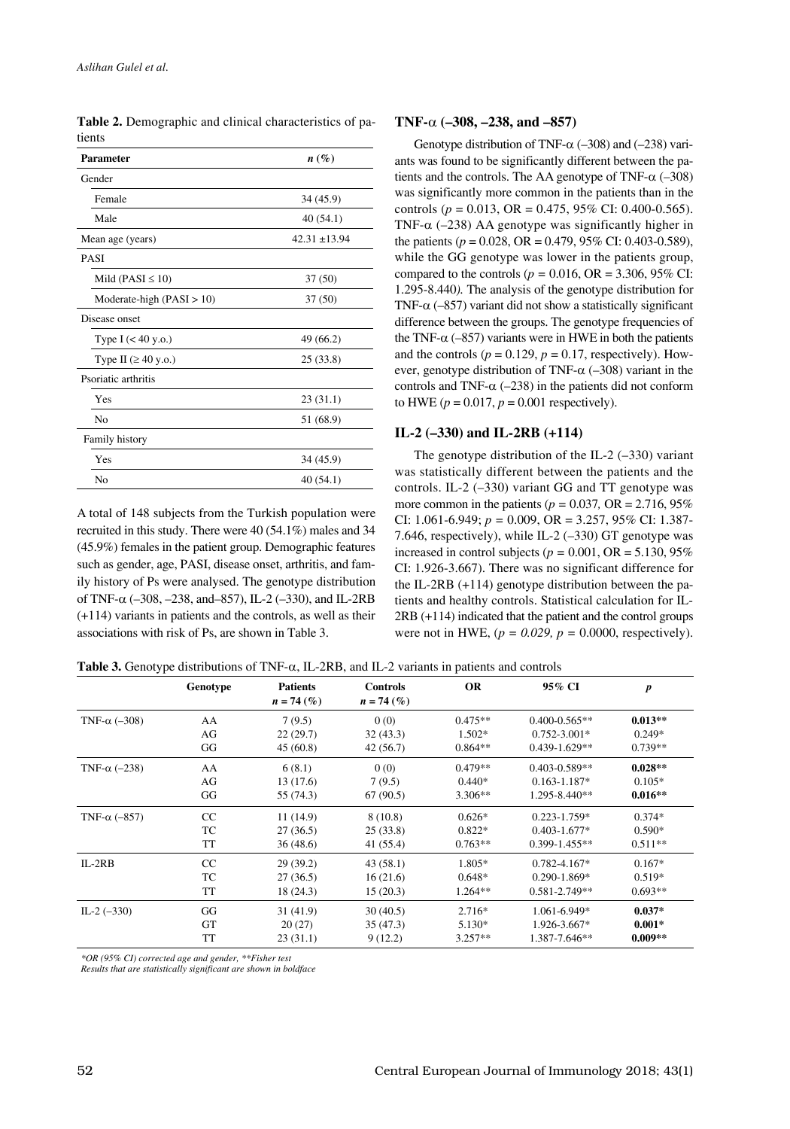| <b>Parameter</b>                 | $n\left(\%\right)$ |
|----------------------------------|--------------------|
| Gender                           |                    |
| Female                           | 34 (45.9)          |
| Male                             | 40(54.1)           |
| Mean age (years)                 | $42.31 \pm 13.94$  |
| <b>PASI</b>                      |                    |
| Mild (PASI $\leq 10$ )           | 37(50)             |
| Moderate-high $(PASI > 10)$      | 37(50)             |
| Disease onset                    |                    |
| Type $I$ (< 40 y.o.)             | 49 (66.2)          |
| Type II $(\geq 40 \text{ y.o.})$ | 25(33.8)           |
| Psoriatic arthritis              |                    |
| Yes                              | 23(31.1)           |
| N <sub>0</sub>                   | 51 (68.9)          |
| Family history                   |                    |
| Yes                              | 34 (45.9)          |
| N <sub>0</sub>                   | 40(54.1)           |

**Table 2.** Demographic and clinical characteristics of patients

A total of 148 subjects from the Turkish population were recruited in this study. There were 40 (54.1%) males and 34 (45.9%) females in the patient group. Demographic features such as gender, age, PASI, disease onset, arthritis, and family history of Ps were analysed. The genotype distribution of TNF- $\alpha$  (-308, -238, and-857), IL-2 (-330), and IL-2RB (+114) variants in patients and the controls, as well as their associations with risk of Ps, are shown in Table 3.

#### **TNF-**α **(–308, –238, and –857)**

Genotype distribution of TNF- $\alpha$  (–308) and (–238) variants was found to be significantly different between the patients and the controls. The AA genotype of TNF- $\alpha$  (-308) was significantly more common in the patients than in the controls (*p* = 0.013, OR = 0.475, 95% CI: 0.400-0.565). TNF- $\alpha$  (-238) AA genotype was significantly higher in the patients (*p* = 0.028, OR = 0.479, 95% CI: 0.403-0.589), while the GG genotype was lower in the patients group, compared to the controls ( $p = 0.016$ , OR = 3.306, 95% CI: 1.295-8.440*).* The analysis of the genotype distribution for TNF- $\alpha$  (-857) variant did not show a statistically significant difference between the groups. The genotype frequencies of the TNF- $\alpha$  (–857) variants were in HWE in both the patients and the controls ( $p = 0.129$ ,  $p = 0.17$ , respectively). However, genotype distribution of TNF- $\alpha$  (-308) variant in the controls and TNF- $\alpha$  (-238) in the patients did not conform to HWE  $(p = 0.017, p = 0.001$  respectively).

# **IL-2 (–330) and IL-2RB (+114)**

The genotype distribution of the IL-2  $(-330)$  variant was statistically different between the patients and the controls. IL-2 (–330) variant GG and TT genotype was more common in the patients ( $p = 0.037$ , OR = 2.716, 95%) CI: 1.061-6.949; *p =* 0.009, OR = 3.257, 95% CI: 1.387- 7.646, respectively), while IL-2 (–330) GT genotype was increased in control subjects ( $p = 0.001$ , OR = 5.130, 95%) CI: 1.926-3.667). There was no significant difference for the IL-2RB (+114) genotype distribution between the patients and healthy controls. Statistical calculation for IL-2RB (+114) indicated that the patient and the control groups were not in HWE,  $(p = 0.029, p = 0.0000,$  respectively).

**Table 3.** Genotype distributions of TNF-α, IL-2RB, and IL-2 variants in patients and controls

|                      | Genotype  | <b>Patients</b><br>$n = 74\,(%$ | <b>Controls</b><br>$n = 74$ (%) | <b>OR</b> | 95% CI            | $\boldsymbol{p}$ |
|----------------------|-----------|---------------------------------|---------------------------------|-----------|-------------------|------------------|
| TNF- $\alpha$ (-308) | AA        | 7(9.5)                          | 0(0)                            | $0.475**$ | $0.400 - 0.565**$ | $0.013**$        |
|                      | AG        | 22(29.7)                        | 32(43.3)                        | $1.502*$  | $0.752 - 3.001*$  | $0.249*$         |
|                      | GG        | 45(60.8)                        | 42(56.7)                        | $0.864**$ | $0.439 - 1.629**$ | $0.739**$        |
| TNF- $\alpha$ (-238) | AA        | 6(8.1)                          | 0(0)                            | $0.479**$ | $0.403 - 0.589**$ | $0.028**$        |
|                      | AG        | 13(17.6)                        | 7(9.5)                          | $0.440*$  | $0.163 - 1.187*$  | $0.105*$         |
|                      | GG        | 55 (74.3)                       | 67 (90.5)                       | $3.306**$ | $1.295 - 8.440**$ | $0.016**$        |
| TNF- $\alpha$ (-857) | CC        | 11(14.9)                        | 8(10.8)                         | $0.626*$  | $0.223 - 1.759*$  | $0.374*$         |
|                      | TC        | 27(36.5)                        | 25(33.8)                        | $0.822*$  | $0.403 - 1.677*$  | $0.590*$         |
|                      | <b>TT</b> | 36(48.6)                        | 41 (55.4)                       | $0.763**$ | $0.399 - 1.455**$ | $0.511**$        |
| $IL-2RB$             | CC        | 29(39.2)                        | 43(58.1)                        | 1.805*    | $0.782 - 4.167*$  | $0.167*$         |
|                      | TC        | 27(36.5)                        | 16(21.6)                        | $0.648*$  | $0.290 - 1.869*$  | $0.519*$         |
|                      | TT        | 18 (24.3)                       | 15(20.3)                        | $1.264**$ | $0.581 - 2.749**$ | $0.693**$        |
| IL-2 $(-330)$        | GG        | 31(41.9)                        | 30(40.5)                        | $2.716*$  | $1.061 - 6.949*$  | $0.037*$         |
|                      | <b>GT</b> | 20(27)                          | 35 (47.3)                       | 5.130*    | 1.926-3.667*      | $0.001*$         |
|                      | <b>TT</b> | 23(31.1)                        | 9(12.2)                         | $3.257**$ | 1.387-7.646**     | $0.009**$        |

*\*OR (95% CI) corrected age and gender, \*\*Fisher test*

*Results that are statistically significant are shown in boldface*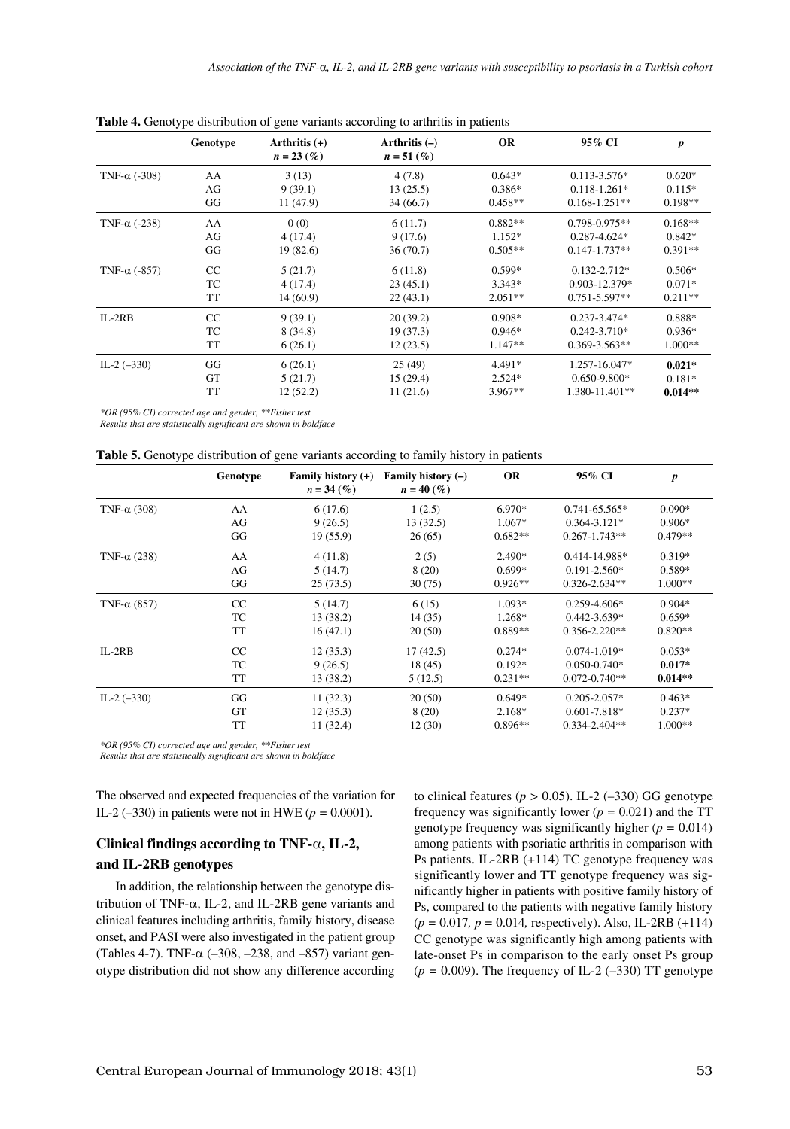|                      | Genotype  | Arthritis $(+)$<br>$n = 23\,(%)$ | Arthritis $(-)$<br>$n = 51\,(\%)$ | <b>OR</b> | 95% CI             | p         |
|----------------------|-----------|----------------------------------|-----------------------------------|-----------|--------------------|-----------|
| TNF- $\alpha$ (-308) | AA        | 3(13)                            | 4(7.8)                            | $0.643*$  | $0.113 - 3.576*$   | $0.620*$  |
|                      | AG        | 9(39.1)                          | 13(25.5)                          | $0.386*$  | $0.118 - 1.261*$   | $0.115*$  |
|                      | GG        | 11(47.9)                         | 34 (66.7)                         | $0.458**$ | $0.168 - 1.251**$  | $0.198**$ |
| TNF- $\alpha$ (-238) | AA        | 0(0)                             | 6(11.7)                           | $0.882**$ | $0.798 - 0.975**$  | $0.168**$ |
|                      | AG        | 4(17.4)                          | 9(17.6)                           | $1.152*$  | $0.287 - 4.624*$   | $0.842*$  |
|                      | GG        | 19(82.6)                         | 36(70.7)                          | $0.505**$ | $0.147 - 1.737**$  | $0.391**$ |
| TNF- $\alpha$ (-857) | CC        | 5(21.7)                          | 6(11.8)                           | $0.599*$  | $0.132 - 2.712*$   | $0.506*$  |
|                      | TC        | 4(17.4)                          | 23(45.1)                          | $3.343*$  | $0.903 - 12.379*$  | $0.071*$  |
|                      | TT        | 14(60.9)                         | 22(43.1)                          | $2.051**$ | $0.751 - 5.597**$  | $0.211**$ |
| $IL-2RB$             | CC        | 9(39.1)                          | 20(39.2)                          | $0.908*$  | $0.237 - 3.474*$   | 0.888*    |
|                      | TC        | 8 (34.8)                         | 19 (37.3)                         | $0.946*$  | $0.242 - 3.710*$   | $0.936*$  |
|                      | <b>TT</b> | 6(26.1)                          | 12(23.5)                          | $1.147**$ | $0.369 - 3.563$ ** | $1.000**$ |
| IL-2 $(-330)$        | GG        | 6(26.1)                          | 25(49)                            | $4.491*$  | $1.257 - 16.047*$  | $0.021*$  |
|                      | <b>GT</b> | 5(21.7)                          | 15(29.4)                          | $2.524*$  | $0.650 - 9.800*$   | $0.181*$  |
|                      | <b>TT</b> | 12(52.2)                         | 11(21.6)                          | $3.967**$ | 1.380-11.401**     | $0.014**$ |

**Table 4.** Genotype distribution of gene variants according to arthritis in patients

*\*OR (95% CI) corrected age and gender, \*\*Fisher test*

*Results that are statistically significant are shown in boldface*

|  | <b>Table 5.</b> Genotype distribution of gene variants according to family history in patients |  |  |
|--|------------------------------------------------------------------------------------------------|--|--|
|  |                                                                                                |  |  |

|                     | Genotype  | Family history (+)<br>$n = 34\,(%)$ | Family history $(-)$<br>$n = 40\,(%$ | <b>OR</b> | 95% CI            | $\boldsymbol{p}$ |
|---------------------|-----------|-------------------------------------|--------------------------------------|-----------|-------------------|------------------|
| TNF- $\alpha$ (308) | AA        | 6(17.6)                             | 1(2.5)                               | 6.970*    | $0.741 - 65.565*$ | $0.090*$         |
|                     | AG        | 9(26.5)                             | 13(32.5)                             | $1.067*$  | $0.364 - 3.121*$  | $0.906*$         |
|                     | GG        | 19(55.9)                            | 26(65)                               | $0.682**$ | $0.267 - 1.743**$ | $0.479**$        |
| TNF- $\alpha$ (238) | AA        | 4(11.8)                             | 2(5)                                 | $2.490*$  | 0.414-14.988*     | $0.319*$         |
|                     | AG        | 5(14.7)                             | 8(20)                                | $0.699*$  | $0.191 - 2.560*$  | $0.589*$         |
|                     | GG        | 25(73.5)                            | 30(75)                               | $0.926**$ | $0.326 - 2.634**$ | $1.000**$        |
| TNF- $\alpha$ (857) | CC        | 5(14.7)                             | 6(15)                                | 1.093*    | $0.259 - 4.606*$  | $0.904*$         |
|                     | TC        | 13 (38.2)                           | 14 (35)                              | 1.268*    | $0.442 - 3.639*$  | $0.659*$         |
|                     | <b>TT</b> | 16(47.1)                            | 20(50)                               | $0.889**$ | $0.356 - 2.220**$ | $0.820**$        |
| $IL-2RB$            | CC        | 12(35.3)                            | 17(42.5)                             | $0.274*$  | $0.074 - 1.019*$  | $0.053*$         |
|                     | TC        | 9(26.5)                             | 18(45)                               | $0.192*$  | $0.050 - 0.740*$  | $0.017*$         |
|                     | TT        | 13 (38.2)                           | 5(12.5)                              | $0.231**$ | $0.072 - 0.740**$ | $0.014**$        |
| IL-2 $(-330)$       | GG        | 11(32.3)                            | 20(50)                               | $0.649*$  | $0.205 - 2.057*$  | $0.463*$         |
|                     | <b>GT</b> | 12(35.3)                            | 8(20)                                | 2.168*    | $0.601 - 7.818*$  | $0.237*$         |
|                     | TT        | 11(32.4)                            | 12(30)                               | $0.896**$ | $0.334 - 2.404**$ | $1.000**$        |

*\*OR (95% CI) corrected age and gender, \*\*Fisher test*

*Results that are statistically significant are shown in boldface*

The observed and expected frequencies of the variation for IL-2 (-330) in patients were not in HWE ( $p = 0.0001$ ).

# **Clinical findings according to TNF-**α**, IL-2, and IL-2RB genotypes**

In addition, the relationship between the genotype distribution of TNF- $\alpha$ , IL-2, and IL-2RB gene variants and clinical features including arthritis, family history, disease onset, and PASI were also investigated in the patient group (Tables 4-7). TNF-α (–308, –238, and –857) variant genotype distribution did not show any difference according

to clinical features ( $p > 0.05$ ). IL-2 (-330) GG genotype frequency was significantly lower  $(p = 0.021)$  and the TT genotype frequency was significantly higher (*p =* 0.014) among patients with psoriatic arthritis in comparison with Ps patients. IL-2RB (+114) TC genotype frequency was significantly lower and TT genotype frequency was significantly higher in patients with positive family history of Ps, compared to the patients with negative family history (*p =* 0.017*, p =* 0.014*,* respectively). Also, IL-2RB (+114) CC genotype was significantly high among patients with late-onset Ps in comparison to the early onset Ps group  $(p = 0.009)$ . The frequency of IL-2 (-330) TT genotype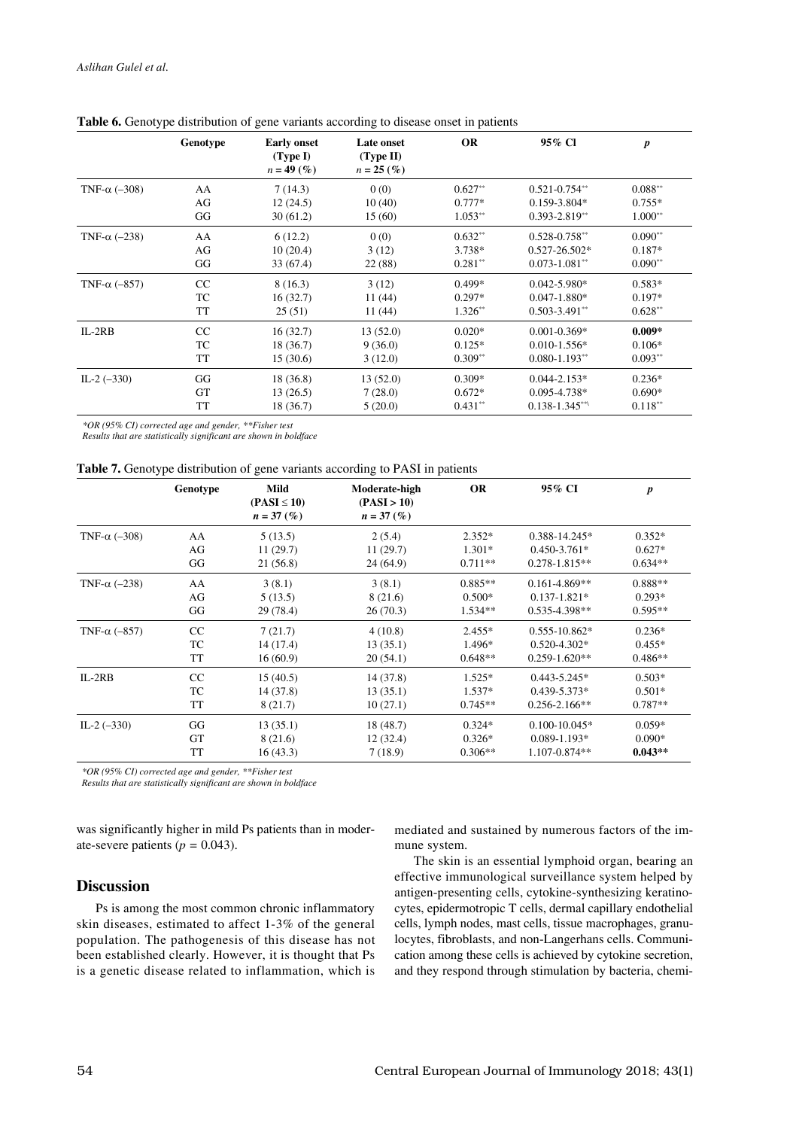|                      | Genotype  | <b>Early onset</b><br>(Type I)<br>$n = 49(%)$ | Late onset<br>(Type II)<br>$n = 25 \, (\%)$ | <b>OR</b>  | 95% Cl             | $\boldsymbol{p}$ |
|----------------------|-----------|-----------------------------------------------|---------------------------------------------|------------|--------------------|------------------|
| TNF- $\alpha$ (-308) | AA        | 7(14.3)                                       | 0(0)                                        | $0.627**$  | $0.521 - 0.754**$  | $0.088**$        |
|                      | AG        | 12(24.5)                                      | 10(40)                                      | $0.777*$   | $0.159 - 3.804*$   | $0.755*$         |
|                      | GG        | 30(61.2)                                      | 15(60)                                      | $1.053***$ | $0.393 - 2.819**$  | $1.000**$        |
| TNF- $\alpha$ (-238) | AA        | 6(12.2)                                       | 0(0)                                        | $0.632**$  | $0.528 - 0.758$ ** | $0.090**$        |
|                      | AG        | 10(20.4)                                      | 3(12)                                       | 3.738*     | $0.527 - 26.502*$  | $0.187*$         |
|                      | GG        | 33(67.4)                                      | 22 (88)                                     | $0.281**$  | $0.073 - 1.081**$  | $0.090**$        |
| TNF- $\alpha$ (-857) | CC        | 8(16.3)                                       | 3(12)                                       | $0.499*$   | $0.042 - 5.980*$   | $0.583*$         |
|                      | TC        | 16(32.7)                                      | 11(44)                                      | $0.297*$   | $0.047 - 1.880*$   | $0.197*$         |
|                      | TT        | 25(51)                                        | 11(44)                                      | $1.326**$  | $0.503 - 3.491$ ** | $0.628**$        |
| $IL-2RB$             | CC        | 16(32.7)                                      | 13(52.0)                                    | $0.020*$   | $0.001 - 0.369*$   | $0.009*$         |
|                      | TC        | 18(36.7)                                      | 9(36.0)                                     | $0.125*$   | $0.010 - 1.556*$   | $0.106*$         |
|                      | TT        | 15(30.6)                                      | 3(12.0)                                     | $0.309**$  | $0.080 - 1.193**$  | $0.093**$        |
| IL-2 $(-330)$        | GG        | 18(36.8)                                      | 13(52.0)                                    | $0.309*$   | $0.044 - 2.153*$   | $0.236*$         |
|                      | <b>GT</b> | 13(26.5)                                      | 7(28.0)                                     | $0.672*$   | $0.095 - 4.738*$   | $0.690*$         |
|                      | TT        | 18(36.7)                                      | 5(20.0)                                     | $0.431**$  | $0.138 - 1.345$ ** | $0.118**$        |
|                      |           |                                               |                                             |            |                    |                  |

#### Table 6. Genotype distribution of gene variants according to disease onset in patients

*\*OR (95% CI) corrected age and gender, \*\*Fisher test*

*Results that are statistically significant are shown in boldface*

| <b>Table 7.</b> Genotype distribution of gene variants according to PASI in patients |  |
|--------------------------------------------------------------------------------------|--|
|--------------------------------------------------------------------------------------|--|

|                      | Genotype  | <b>Mild</b><br>$(PASI \leq 10)$<br>$n = 37(%)$ | Moderate-high<br>(PASI > 10)<br>$n = 37\,(%$ | <b>OR</b> | 95% CI             | $\boldsymbol{p}$ |
|----------------------|-----------|------------------------------------------------|----------------------------------------------|-----------|--------------------|------------------|
| TNF- $\alpha$ (-308) | AA        | 5(13.5)                                        | 2(5.4)                                       | $2.352*$  | $0.388 - 14.245*$  | $0.352*$         |
|                      | AG        | 11(29.7)                                       | 11(29.7)                                     | $1.301*$  | $0.450 - 3.761*$   | $0.627*$         |
|                      | GG        | 21 (56.8)                                      | 24(64.9)                                     | $0.711**$ | $0.278 - 1.815**$  | $0.634**$        |
| TNF- $\alpha$ (-238) | AA        | 3(8.1)                                         | 3(8.1)                                       | $0.885**$ | $0.161 - 4.869**$  | $0.888**$        |
|                      | AG        | 5(13.5)                                        | 8(21.6)                                      | $0.500*$  | $0.137 - 1.821*$   | $0.293*$         |
|                      | GG        | 29 (78.4)                                      | 26(70.3)                                     | $1.534**$ | $0.535 - 4.398**$  | $0.595**$        |
| TNF- $\alpha$ (-857) | CC        | 7(21.7)                                        | 4(10.8)                                      | $2.455*$  | $0.555 - 10.862*$  | $0.236*$         |
|                      | TC        | 14 (17.4)                                      | 13(35.1)                                     | $1.496*$  | $0.520 - 4.302*$   | $0.455*$         |
|                      | TT        | 16(60.9)                                       | 20(54.1)                                     | $0.648**$ | $0.259 - 1.620**$  | $0.486**$        |
| $IL-2RB$             | CC        | 15(40.5)                                       | 14 (37.8)                                    | $1.525*$  | $0.443 - 5.245*$   | $0.503*$         |
|                      | <b>TC</b> | 14 (37.8)                                      | 13(35.1)                                     | $1.537*$  | $0.439 - 5.373*$   | $0.501*$         |
|                      | TT        | 8(21.7)                                        | 10(27.1)                                     | $0.745**$ | $0.256 - 2.166$ ** | $0.787**$        |
| IL-2 $(-330)$        | GG        | 13(35.1)                                       | 18(48.7)                                     | $0.324*$  | $0.100 - 10.045*$  | $0.059*$         |
|                      | <b>GT</b> | 8 (21.6)                                       | 12(32.4)                                     | $0.326*$  | $0.089 - 1.193*$   | $0.090*$         |
|                      | TT        | 16(43.3)                                       | 7(18.9)                                      | $0.306**$ | 1.107-0.874**      | $0.043**$        |

*\*OR (95% CI) corrected age and gender, \*\*Fisher test*

*Results that are statistically significant are shown in boldface*

was significantly higher in mild Ps patients than in moderate-severe patients ( $p = 0.043$ ).

# **Discussion**

Ps is among the most common chronic inflammatory skin diseases, estimated to affect 1-3% of the general population. The pathogenesis of this disease has not been established clearly. However, it is thought that Ps is a genetic disease related to inflammation, which is mediated and sustained by numerous factors of the immune system.

The skin is an essential lymphoid organ, bearing an effective immunological surveillance system helped by antigen-presenting cells, cytokine-synthesizing keratinocytes, epidermotropic T cells, dermal capillary endothelial cells, lymph nodes, mast cells, tissue macrophages, granulocytes, fibroblasts, and non-Langerhans cells. Communication among these cells is achieved by cytokine secretion, and they respond through stimulation by bacteria, chemi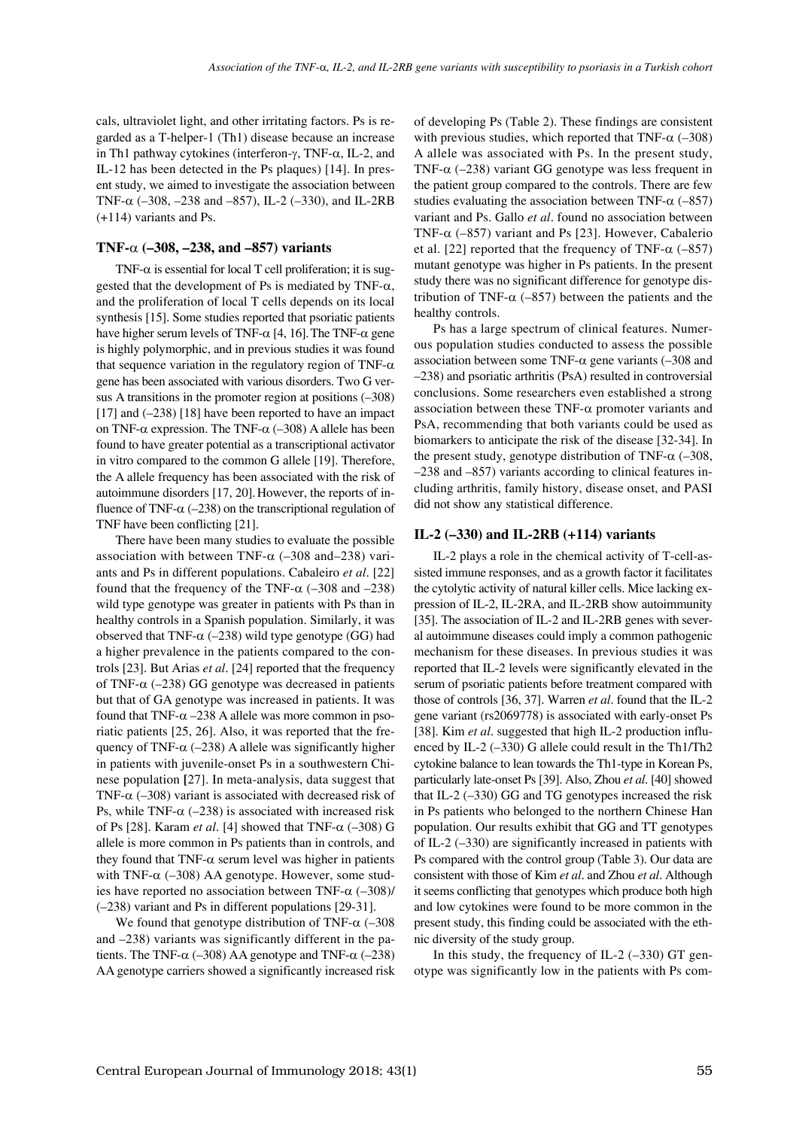cals, ultraviolet light, and other irritating factors. Ps is regarded as a T-helper-1 (Th1) disease because an increase in Th1 pathway cytokines (interferon-γ, TNF-α, IL-2, and IL-12 has been detected in the Ps plaques) [14]. In present study, we aimed to investigate the association between TNF- $\alpha$  (-308, -238 and -857), IL-2 (-330), and IL-2RB (+114) variants and Ps.

#### **TNF-**α **(–308, –238, and –857) variants**

TNF- $\alpha$  is essential for local T cell proliferation; it is suggested that the development of Ps is mediated by TNF- $\alpha$ , and the proliferation of local T cells depends on its local synthesis [15]. Some studies reported that psoriatic patients have higher serum levels of TNF- $α$  [4, 16]. The TNF- $α$  gene is highly polymorphic, and in previous studies it was found that sequence variation in the regulatory region of TNF- $\alpha$ gene has been associated with various disorders. Two G versus A transitions in the promoter region at positions (–308) [17] and  $(-238)$  [18] have been reported to have an impact on TNF- $\alpha$  expression. The TNF- $\alpha$  (-308) A allele has been found to have greater potential as a transcriptional activator in vitro compared to the common G allele [19]. Therefore, the A allele frequency has been associated with the risk of autoimmune disorders [17, 20].However, the reports of influence of TNF- $\alpha$  (–238) on the transcriptional regulation of TNF have been conflicting [21].

There have been many studies to evaluate the possible association with between TNF- $\alpha$  (-308 and-238) variants and Ps in different populations. Cabaleiro *et al*. [22] found that the frequency of the TNF- $\alpha$  (-308 and -238) wild type genotype was greater in patients with Ps than in healthy controls in a Spanish population. Similarly, it was observed that TNF- $\alpha$  (–238) wild type genotype (GG) had a higher prevalence in the patients compared to the controls [23]. But Arias *et al*. [24] reported that the frequency of TNF- $\alpha$  (-238) GG genotype was decreased in patients but that of GA genotype was increased in patients. It was found that  $TNF-\alpha -238$  A allele was more common in psoriatic patients [25, 26]. Also, it was reported that the frequency of TNF- $\alpha$  (–238) A allele was significantly higher in patients with juvenile-onset Ps in a southwestern Chinese population **[**27]. In meta-analysis, data suggest that TNF- $\alpha$  (-308) variant is associated with decreased risk of Ps, while TNF- $\alpha$  (–238) is associated with increased risk of Ps [28]. Karam *et al*. [4] showed that TNF-α (–308) G allele is more common in Ps patients than in controls, and they found that TNF- $\alpha$  serum level was higher in patients with TNF- $\alpha$  (-308) AA genotype. However, some studies have reported no association between TNF- $\alpha$  (-308)/ (–238) variant and Ps in different populations [29-31].

We found that genotype distribution of TNF- $\alpha$  (-308) and –238) variants was significantly different in the patients. The TNF- $\alpha$  (–308) AA genotype and TNF- $\alpha$  (–238) AA genotype carriers showed a significantly increased risk of developing Ps (Table 2). These findings are consistent with previous studies, which reported that TNF- $\alpha$  (-308) A allele was associated with Ps. In the present study, TNF- $\alpha$  (-238) variant GG genotype was less frequent in the patient group compared to the controls. There are few studies evaluating the association between TNF- $\alpha$  (–857) variant and Ps. Gallo *et al*. found no association between TNF- $\alpha$  (–857) variant and Ps [23]. However, Cabalerio et al. [22] reported that the frequency of TNF- $\alpha$  (–857) mutant genotype was higher in Ps patients. In the present study there was no significant difference for genotype distribution of TNF- $\alpha$  (–857) between the patients and the healthy controls.

Ps has a large spectrum of clinical features. Numerous population studies conducted to assess the possible association between some TNF- $\alpha$  gene variants (-308 and –238) and psoriatic arthritis (PsA) resulted in controversial conclusions. Some researchers even established a strong association between these  $TNF-\alpha$  promoter variants and PsA, recommending that both variants could be used as biomarkers to anticipate the risk of the disease [32-34]. In the present study, genotype distribution of TNF- $\alpha$  (-308, –238 and –857) variants according to clinical features including arthritis, family history, disease onset, and PASI did not show any statistical difference.

## **IL-2 (–330) and IL-2RB (+114) variants**

IL-2 plays a role in the chemical activity of T-cell-assisted immune responses, and as a growth factor it facilitates the cytolytic activity of natural killer cells. Mice lacking expression of IL-2, IL-2RA, and IL-2RB show autoimmunity [35]. The association of IL-2 and IL-2RB genes with several autoimmune diseases could imply a common pathogenic mechanism for these diseases. In previous studies it was reported that IL-2 levels were significantly elevated in the serum of psoriatic patients before treatment compared with those of controls [36, 37]. Warren *et al*. found that the IL-2 gene variant (rs2069778) is associated with early-onset Ps [38]. Kim *et al*. suggested that high IL-2 production influenced by IL-2 (–330) G allele could result in the Th1/Th2 cytokine balance to lean towards the Th1-type in Korean Ps, particularly late-onset Ps [39]. Also, Zhou *et al*. [40] showed that IL-2 (–330) GG and TG genotypes increased the risk in Ps patients who belonged to the northern Chinese Han population. Our results exhibit that GG and TT genotypes of IL-2 (–330) are significantly increased in patients with Ps compared with the control group (Table 3). Our data are consistent with those of Kim *et al*. and Zhou *et al*. Although it seems conflicting that genotypes which produce both high and low cytokines were found to be more common in the present study, this finding could be associated with the ethnic diversity of the study group.

In this study, the frequency of IL-2  $(-330)$  GT genotype was significantly low in the patients with Ps com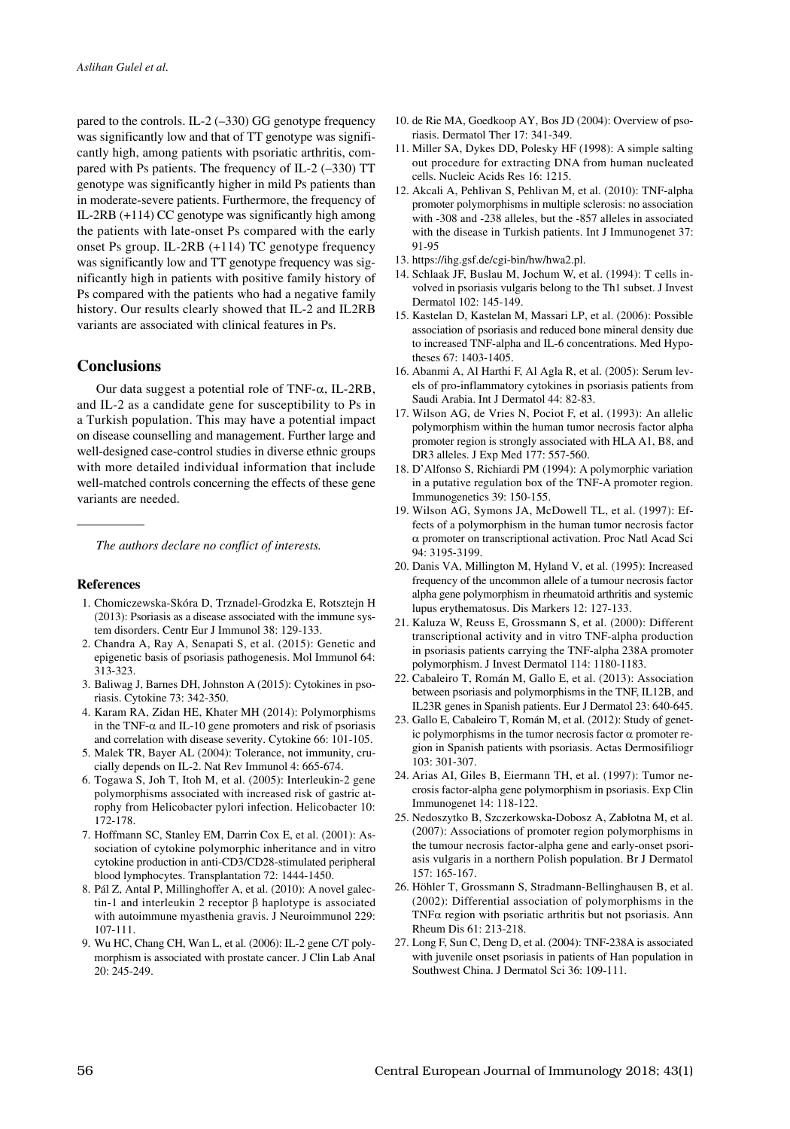pared to the controls. IL-2 (–330) GG genotype frequency was significantly low and that of TT genotype was significantly high, among patients with psoriatic arthritis, compared with Ps patients. The frequency of IL-2 (–330) TT genotype was significantly higher in mild Ps patients than in moderate-severe patients. Furthermore, the frequency of IL-2RB (+114) CC genotype was significantly high among the patients with late-onset Ps compared with the early onset Ps group. IL-2RB (+114) TC genotype frequency was significantly low and TT genotype frequency was significantly high in patients with positive family history of Ps compared with the patients who had a negative family history. Our results clearly showed that IL-2 and IL2RB variants are associated with clinical features in Ps.

# **Conclusions**

Our data suggest a potential role of TNF-α, IL-2RB, and IL-2 as a candidate gene for susceptibility to Ps in a Turkish population. This may have a potential impact on disease counselling and management. Further large and well-designed case-control studies in diverse ethnic groups with more detailed individual information that include well-matched controls concerning the effects of these gene variants are needed.

*The authors declare no conflict of interests.*

# **References**

- 1. Chomiczewska-Skóra D, Trznadel-Grodzka E, Rotsztejn H (2013): Psoriasis as a disease associated with the immune system disorders. Centr Eur J Immunol 38: 129-133.
- 2. Chandra A, Ray A, Senapati S, et al. (2015): Genetic and epigenetic basis of psoriasis pathogenesis. Mol Immunol 64: 313-323.
- 3. Baliwag J, Barnes DH, Johnston A (2015): Cytokines in psoriasis. Cytokine 73: 342-350.
- 4. Karam RA, Zidan HE, Khater MH (2014): Polymorphisms in the TNF- $\alpha$  and IL-10 gene promoters and risk of psoriasis and correlation with disease severity. Cytokine 66: 101-105.
- 5. Malek TR, Bayer AL (2004): Tolerance, not immunity, crucially depends on IL-2. Nat Rev Immunol 4: 665-674.
- 6. Togawa S, Joh T, Itoh M, et al. (2005): Interleukin-2 gene polymorphisms associated with increased risk of gastric atrophy from Helicobacter pylori infection. Helicobacter 10: 172-178.
- 7. Hoffmann SC, Stanley EM, Darrin Cox E, et al. (2001): Association of cytokine polymorphic inheritance and in vitro cytokine production in anti-CD3/CD28-stimulated peripheral blood lymphocytes. Transplantation 72: 1444-1450.
- 8. Pál Z, Antal P, Millinghoffer A, et al. (2010): A novel galectin-1 and interleukin 2 receptor β haplotype is associated with autoimmune myasthenia gravis. J Neuroimmunol 229: 107-111.
- 9. Wu HC, Chang CH, Wan L, et al. (2006): IL-2 gene C/T polymorphism is associated with prostate cancer. J Clin Lab Anal 20: 245-249.
- 10. de Rie MA, Goedkoop AY, Bos JD (2004): Overview of psoriasis. Dermatol Ther 17: 341-349.
- 11. Miller SA, Dykes DD, Polesky HF (1998): A simple salting out procedure for extracting DNA from human nucleated cells. Nucleic Acids Res 16: 1215.
- 12. Akcali A, Pehlivan S, Pehlivan M, et al. (2010): TNF-alpha promoter polymorphisms in multiple sclerosis: no association with -308 and -238 alleles, but the -857 alleles in associated with the disease in Turkish patients. Int J Immunogenet 37: 91-95
- 13. https://ihg.gsf.de/cgi-bin/hw/hwa2.pl.
- 14. Schlaak JF, Buslau M, Jochum W, et al. (1994): T cells involved in psoriasis vulgaris belong to the Th1 subset. J Invest Dermatol 102: 145-149.
- 15. Kastelan D, Kastelan M, Massari LP, et al. (2006): Possible association of psoriasis and reduced bone mineral density due to increased TNF-alpha and IL-6 concentrations. Med Hypotheses 67: 1403-1405.
- 16. Abanmi A, Al Harthi F, Al Agla R, et al. (2005): Serum levels of pro-inflammatory cytokines in psoriasis patients from Saudi Arabia. Int J Dermatol 44: 82-83.
- 17. Wilson AG, de Vries N, Pociot F, et al. (1993): An allelic polymorphism within the human tumor necrosis factor alpha promoter region is strongly associated with HLA A1, B8, and DR3 alleles. J Exp Med 177: 557-560.
- 18. D'Alfonso S, Richiardi PM (1994): A polymorphic variation in a putative regulation box of the TNF-A promoter region. Immunogenetics 39: 150-155.
- 19. Wilson AG, Symons JA, McDowell TL, et al. (1997): Effects of a polymorphism in the human tumor necrosis factor α promoter on transcriptional activation. Proc Natl Acad Sci 94: 3195-3199.
- 20. Danis VA, Millington M, Hyland V, et al. (1995): Increased frequency of the uncommon allele of a tumour necrosis factor alpha gene polymorphism in rheumatoid arthritis and systemic lupus erythematosus. Dis Markers 12: 127-133.
- 21. Kaluza W, Reuss E, Grossmann S, et al. (2000): Different transcriptional activity and in vitro TNF-alpha production in psoriasis patients carrying the TNF-alpha 238A promoter polymorphism. J Invest Dermatol 114: 1180-1183.
- 22. Cabaleiro T, Román M, Gallo E, et al. (2013): Association between psoriasis and polymorphisms in the TNF, IL12B, and IL23R genes in Spanish patients. Eur J Dermatol 23: 640-645.
- 23. Gallo E, Cabaleiro T, Román M, et al. (2012): Study of genetic polymorphisms in the tumor necrosis factor  $\alpha$  promoter region in Spanish patients with psoriasis. Actas Dermosifiliogr 103: 301-307.
- 24. Arias AI, Giles B, Eiermann TH, et al. (1997): Tumor necrosis factor-alpha gene polymorphism in psoriasis. Exp Clin Immunogenet 14: 118-122.
- 25. Nedoszytko B, Szczerkowska-Dobosz A, Zabłotna M, et al. (2007): Associations of promoter region polymorphisms in the tumour necrosis factor-alpha gene and early-onset psoriasis vulgaris in a northern Polish population. Br J Dermatol 157: 165-167.
- 26. Höhler T, Grossmann S, Stradmann-Bellinghausen B, et al. (2002): Differential association of polymorphisms in the TNF $\alpha$  region with psoriatic arthritis but not psoriasis. Ann Rheum Dis 61: 213-218.
- 27. Long F, Sun C, Deng D, et al. (2004): TNF-238A is associated with juvenile onset psoriasis in patients of Han population in Southwest China. J Dermatol Sci 36: 109-111.